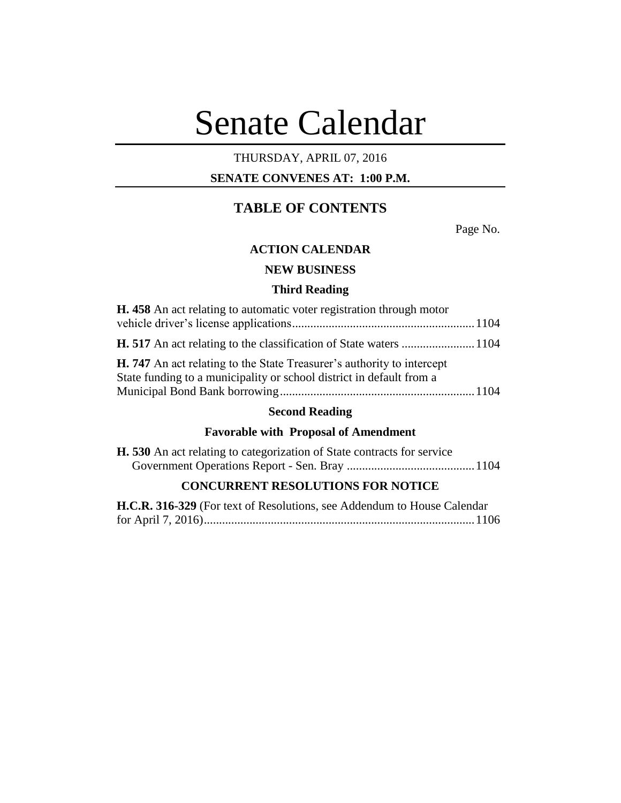# Senate Calendar

# THURSDAY, APRIL 07, 2016

# **SENATE CONVENES AT: 1:00 P.M.**

# **TABLE OF CONTENTS**

Page No.

# **ACTION CALENDAR**

# **NEW BUSINESS**

# **Third Reading**

| H. 458 An act relating to automatic voter registration through motor                                                                                  |  |
|-------------------------------------------------------------------------------------------------------------------------------------------------------|--|
|                                                                                                                                                       |  |
|                                                                                                                                                       |  |
| <b>H. 747</b> An act relating to the State Treasurer's authority to intercept<br>State funding to a municipality or school district in default from a |  |
|                                                                                                                                                       |  |

# **Second Reading**

# **Favorable with Proposal of Amendment**

| <b>H.</b> 530 An act relating to categorization of State contracts for service |  |
|--------------------------------------------------------------------------------|--|
|                                                                                |  |

# **CONCURRENT RESOLUTIONS FOR NOTICE**

| H.C.R. 316-329 (For text of Resolutions, see Addendum to House Calendar |  |
|-------------------------------------------------------------------------|--|
|                                                                         |  |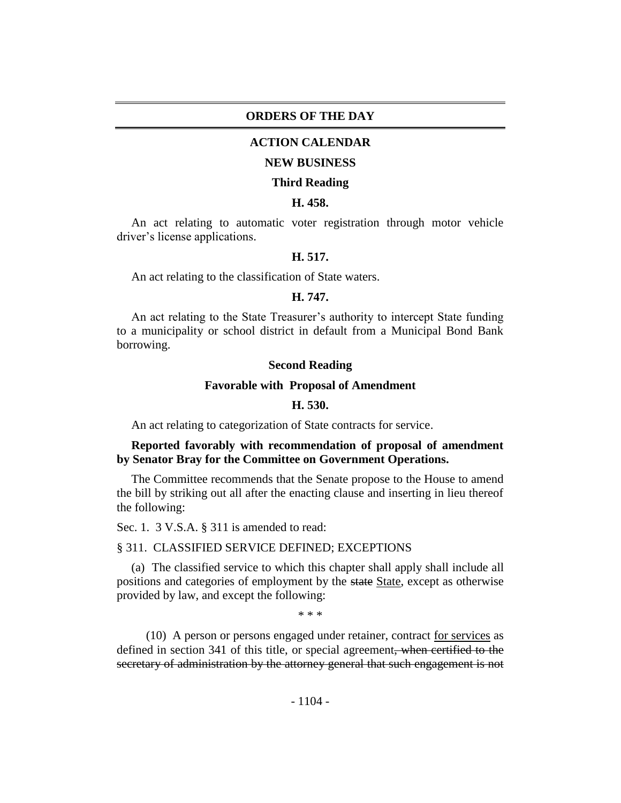# **ORDERS OF THE DAY**

# **ACTION CALENDAR**

#### **NEW BUSINESS**

#### **Third Reading**

## **H. 458.**

An act relating to automatic voter registration through motor vehicle driver's license applications.

## **H. 517.**

An act relating to the classification of State waters.

#### **H. 747.**

An act relating to the State Treasurer's authority to intercept State funding to a municipality or school district in default from a Municipal Bond Bank borrowing.

#### **Second Reading**

#### **Favorable with Proposal of Amendment**

## **H. 530.**

An act relating to categorization of State contracts for service.

# **Reported favorably with recommendation of proposal of amendment by Senator Bray for the Committee on Government Operations.**

The Committee recommends that the Senate propose to the House to amend the bill by striking out all after the enacting clause and inserting in lieu thereof the following:

Sec. 1. 3 V.S.A. § 311 is amended to read:

## § 311. CLASSIFIED SERVICE DEFINED; EXCEPTIONS

(a) The classified service to which this chapter shall apply shall include all positions and categories of employment by the state State, except as otherwise provided by law, and except the following:

\* \* \*

(10) A person or persons engaged under retainer, contract for services as defined in section 341 of this title, or special agreement, when certified to the secretary of administration by the attorney general that such engagement is not

- 1104 -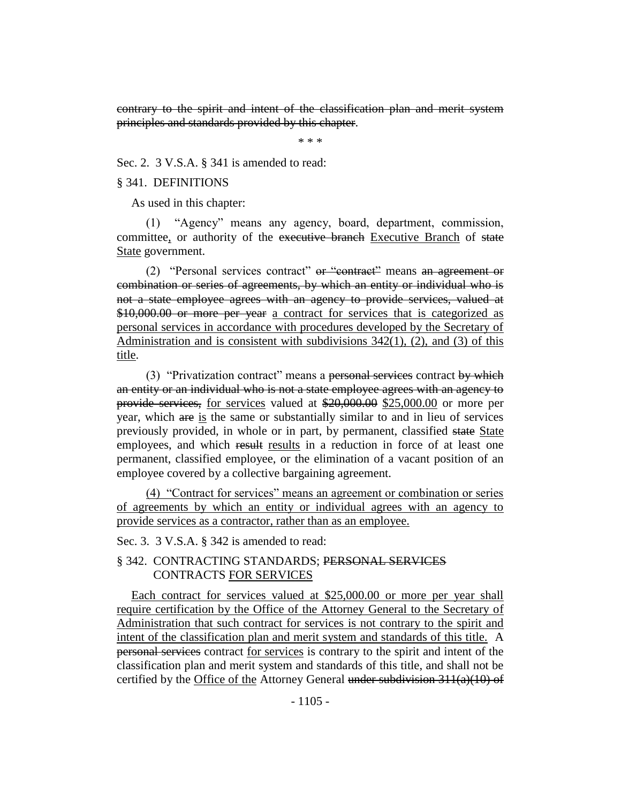contrary to the spirit and intent of the classification plan and merit system principles and standards provided by this chapter.

\* \* \*

Sec. 2. 3 V.S.A. § 341 is amended to read:

## § 341. DEFINITIONS

As used in this chapter:

(1) "Agency" means any agency, board, department, commission, committee, or authority of the executive branch Executive Branch of state State government.

(2) "Personal services contract" or "contract" means an agreement or combination or series of agreements, by which an entity or individual who is not a state employee agrees with an agency to provide services, valued at \$10,000.00 or more per year a contract for services that is categorized as personal services in accordance with procedures developed by the Secretary of Administration and is consistent with subdivisions 342(1), (2), and (3) of this title.

(3) "Privatization contract" means a personal services contract by which an entity or an individual who is not a state employee agrees with an agency to provide services, for services valued at \$20,000.00 \$25,000.00 or more per year, which are is the same or substantially similar to and in lieu of services previously provided, in whole or in part, by permanent, classified state State employees, and which result results in a reduction in force of at least one permanent, classified employee, or the elimination of a vacant position of an employee covered by a collective bargaining agreement.

(4) "Contract for services" means an agreement or combination or series of agreements by which an entity or individual agrees with an agency to provide services as a contractor, rather than as an employee.

## Sec. 3. 3 V.S.A. § 342 is amended to read:

# § 342. CONTRACTING STANDARDS; PERSONAL SERVICES CONTRACTS FOR SERVICES

Each contract for services valued at \$25,000.00 or more per year shall require certification by the Office of the Attorney General to the Secretary of Administration that such contract for services is not contrary to the spirit and intent of the classification plan and merit system and standards of this title. A personal services contract for services is contrary to the spirit and intent of the classification plan and merit system and standards of this title, and shall not be certified by the Office of the Attorney General under subdivision  $311(a)(10)$  of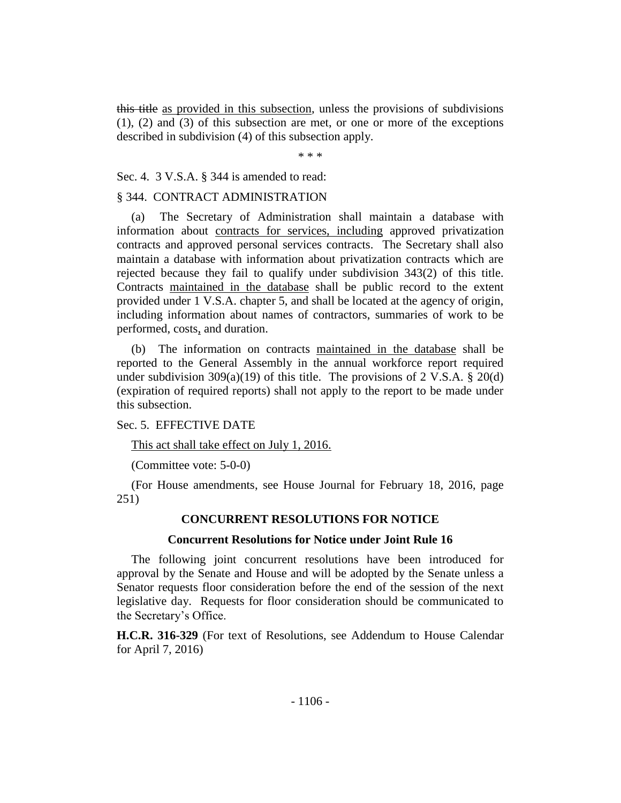this title as provided in this subsection, unless the provisions of subdivisions (1), (2) and (3) of this subsection are met, or one or more of the exceptions described in subdivision (4) of this subsection apply.

\* \* \*

Sec. 4. 3 V.S.A. § 344 is amended to read:

## § 344. CONTRACT ADMINISTRATION

(a) The Secretary of Administration shall maintain a database with information about contracts for services, including approved privatization contracts and approved personal services contracts. The Secretary shall also maintain a database with information about privatization contracts which are rejected because they fail to qualify under subdivision 343(2) of this title. Contracts maintained in the database shall be public record to the extent provided under 1 V.S.A. chapter 5, and shall be located at the agency of origin, including information about names of contractors, summaries of work to be performed, costs, and duration.

(b) The information on contracts maintained in the database shall be reported to the General Assembly in the annual workforce report required under subdivision 309(a)(19) of this title. The provisions of 2 V.S.A.  $\S$  20(d) (expiration of required reports) shall not apply to the report to be made under this subsection.

# Sec. 5. EFFECTIVE DATE

This act shall take effect on July 1, 2016.

(Committee vote: 5-0-0)

(For House amendments, see House Journal for February 18, 2016, page 251)

# **CONCURRENT RESOLUTIONS FOR NOTICE**

## **Concurrent Resolutions for Notice under Joint Rule 16**

The following joint concurrent resolutions have been introduced for approval by the Senate and House and will be adopted by the Senate unless a Senator requests floor consideration before the end of the session of the next legislative day. Requests for floor consideration should be communicated to the Secretary's Office.

**H.C.R. 316-329** (For text of Resolutions, see Addendum to House Calendar for April 7, 2016)